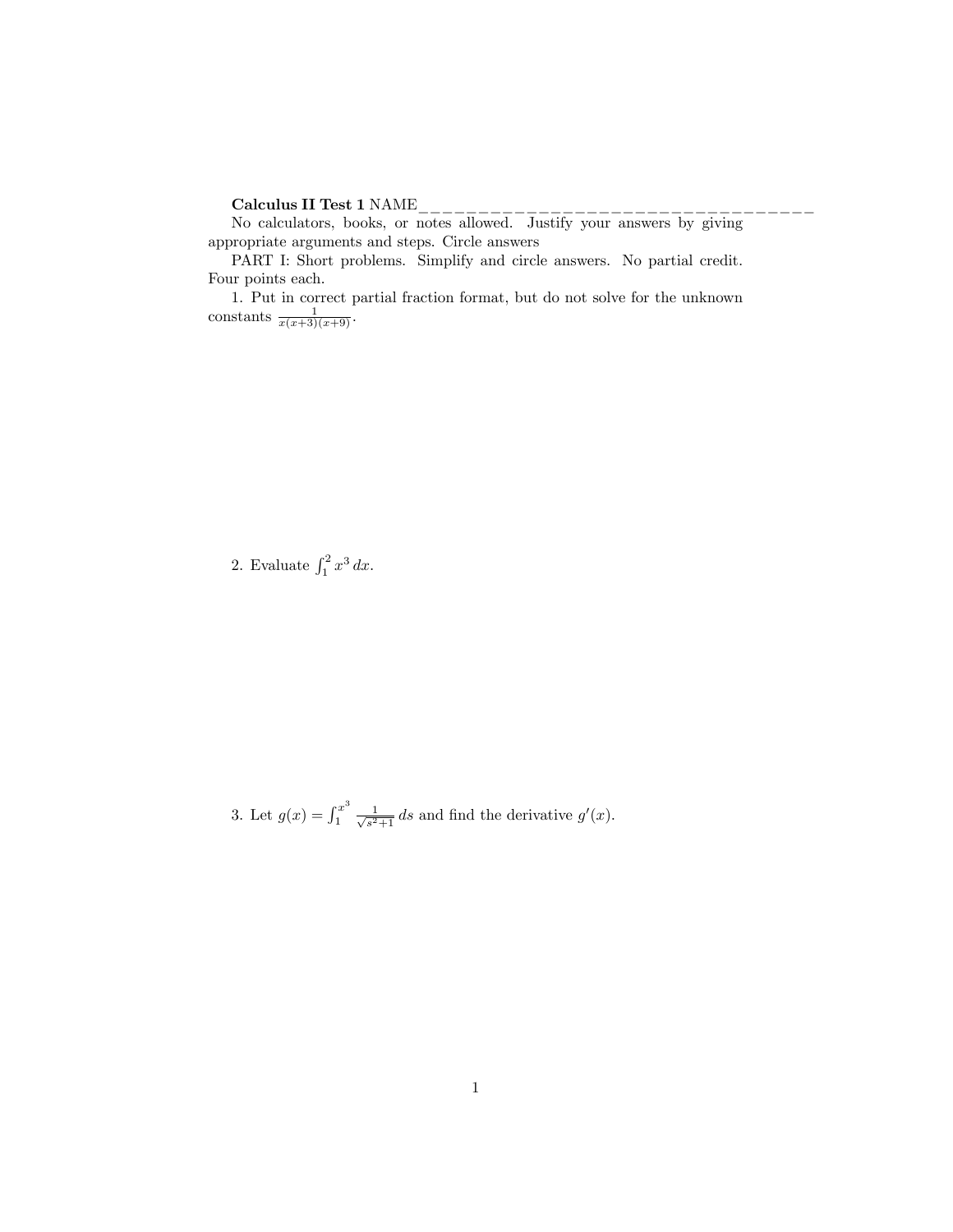## Calculus II Test 1 NAME\_\_\_\_\_\_\_\_\_\_\_\_\_\_\_\_\_\_\_\_\_\_\_\_\_\_\_\_\_\_\_\_\_

No calculators, books, or notes allowed. Justify your answers by giving appropriate arguments and steps. Circle answers

PART I: Short problems. Simplify and circle answers. No partial credit. Four points each.

1. Put in correct partial fraction format, but do not solve for the unknown constants  $\frac{1}{x(x+3)(x+9)}$ .

2. Evaluate  $\int_1^2 x^3 dx$ .

3. Let  $g(x) = \int_1^{x^3}$  $\frac{x^3}{1} \frac{1}{\sqrt{s^2}}$  $\frac{1}{s^2+1}$  ds and find the derivative  $g'(x)$ .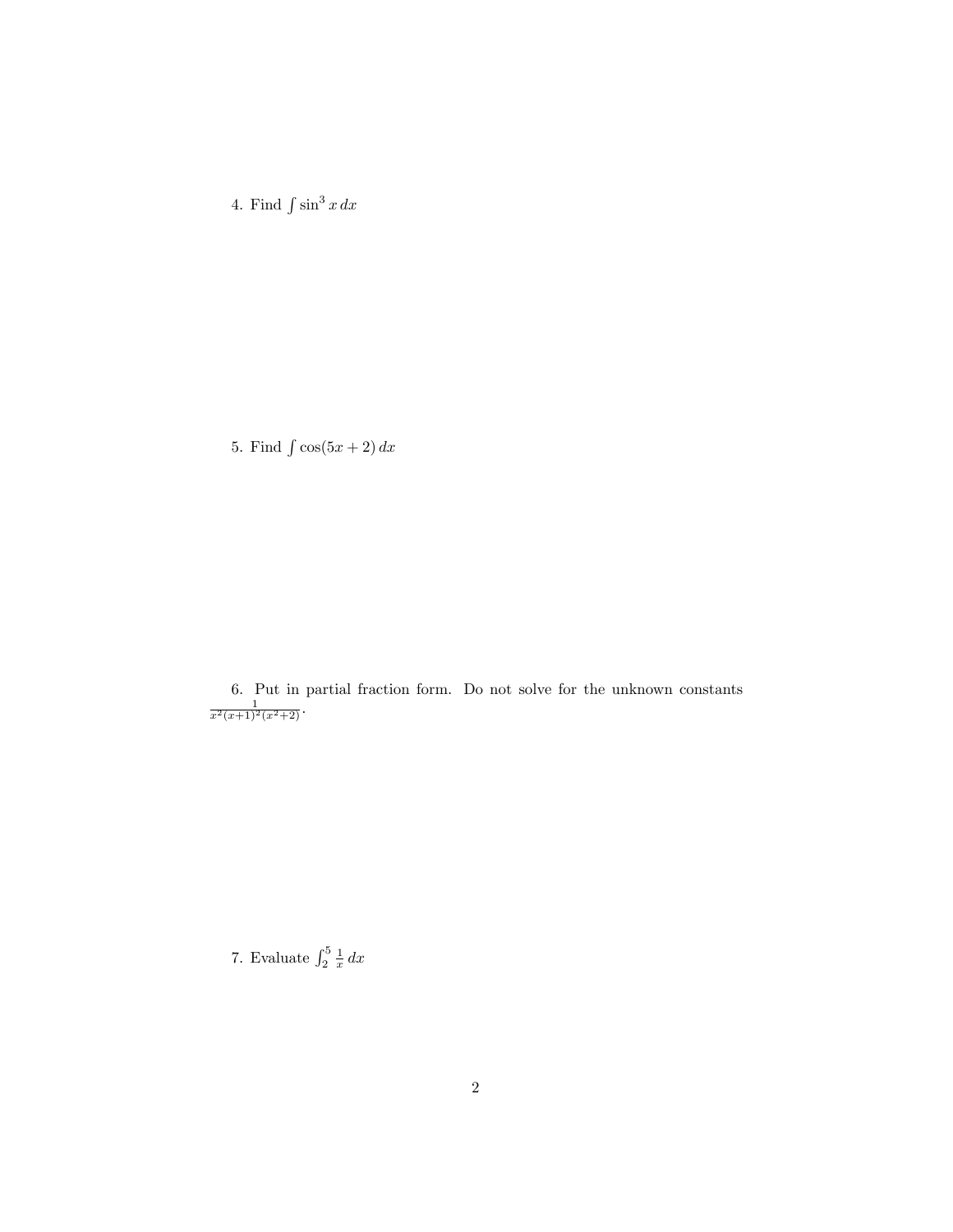4. Find  $\int \sin^3 x \, dx$ 

5. Find  $\int \cos(5x + 2) dx$ 

6. Put in partial fraction form. Do not solve for the unknown constants  $\frac{1}{x^2(x+1)^2(x^2+2)}$ .

7. Evaluate  $\int_2^5 \frac{1}{x} dx$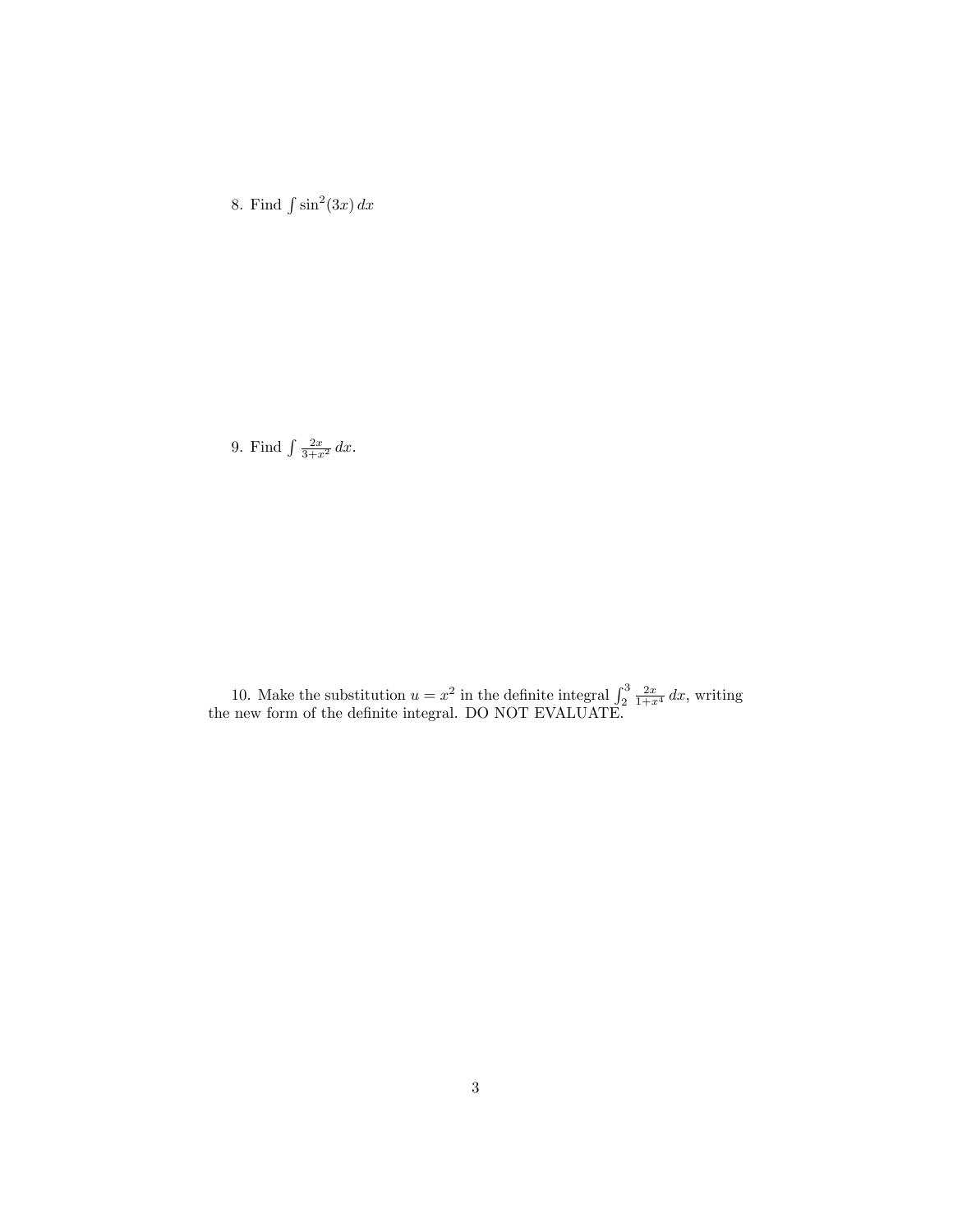8. Find  $\int \sin^2(3x) dx$ 

9. Find  $\int \frac{2x}{3+x^2} dx$ .

10. Make the substitution  $u = x^2$  in the definite integral  $\int_2^3 \frac{2x}{1+x^4} dx$ , writing the new form of the definite integral. DO NOT EVALUATE.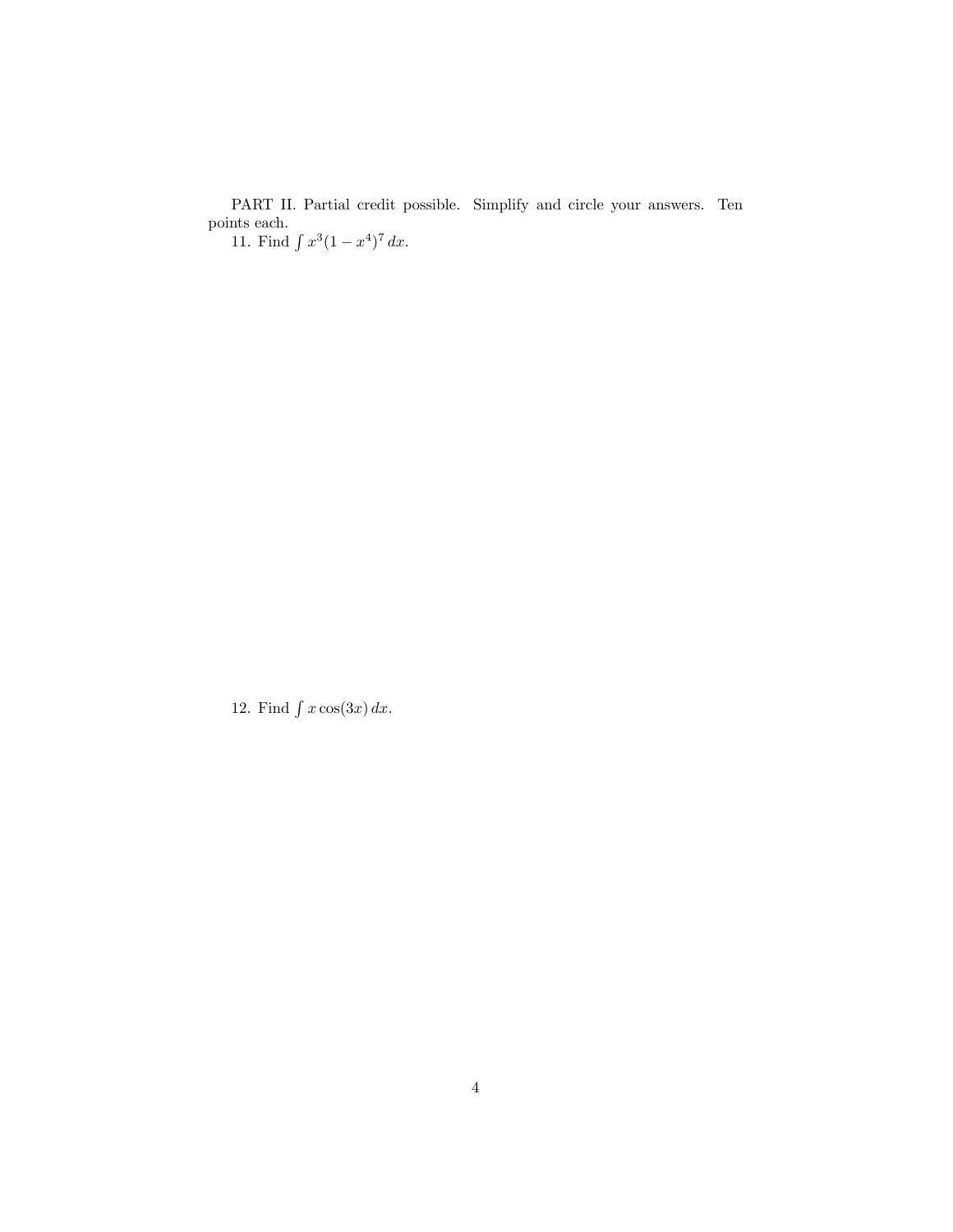PART II. Partial credit possible. Simplify and circle your answers. Ten points each. 11. Find  $\int x^3(1-x^4)^7 dx$ .

12. Find  $\int x \cos(3x) dx$ .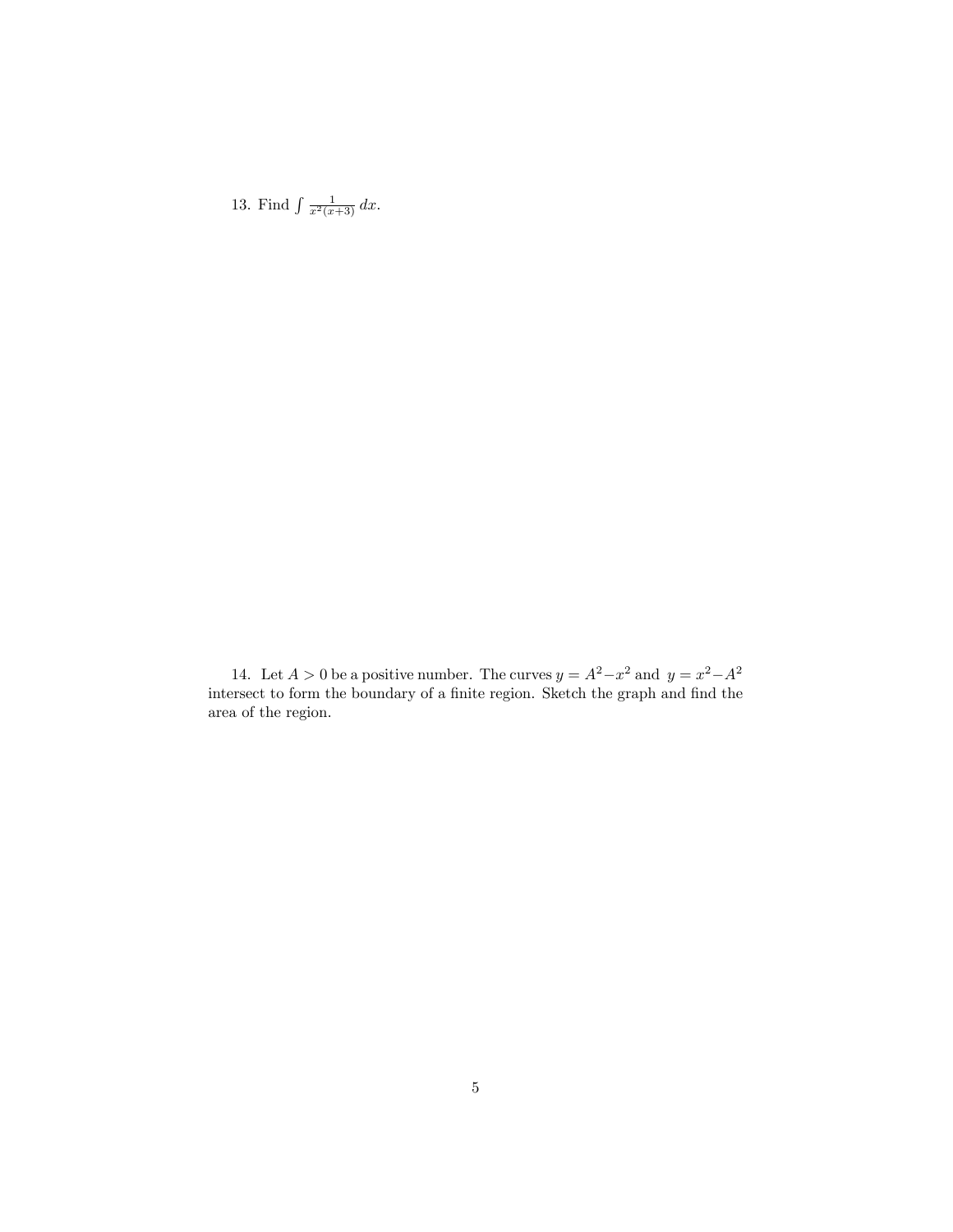13. Find  $\int \frac{1}{x^2(x+3)} dx$ .

14. Let  $A > 0$  be a positive number. The curves  $y = A^2 - x^2$  and  $y = x^2 - A^2$ intersect to form the boundary of a finite region. Sketch the graph and find the area of the region.